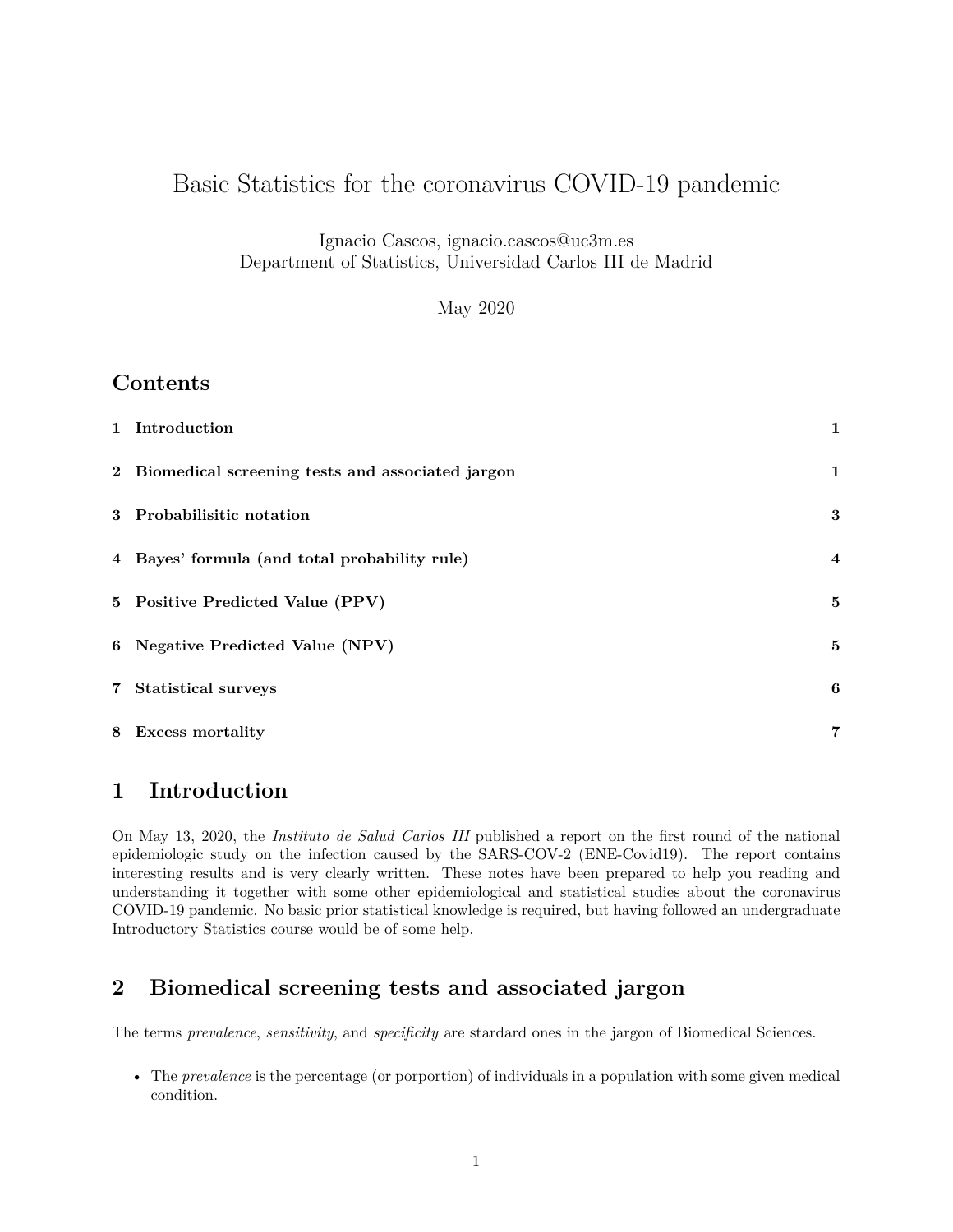# Basic Statistics for the coronavirus COVID-19 pandemic

Ignacio Cascos, [ignacio.cascos@uc3m.es](mailto:ignacio.cascos@uc3m.es) Department of Statistics, [Universidad Carlos III de Madrid](https://www.uc3m.es)

May 2020

### **Contents**

| 1 Introduction                                     | 1                       |
|----------------------------------------------------|-------------------------|
| 2 Biomedical screening tests and associated jargon | $\mathbf 1$             |
| 3 Probabilisitic notation                          | 3                       |
| 4 Bayes' formula (and total probability rule)      | $\overline{\mathbf{4}}$ |
| 5 Positive Predicted Value (PPV)                   | 5                       |
| 6 Negative Predicted Value (NPV)                   | 5                       |
| 7 Statistical surveys                              | 6                       |
| 8 Excess mortality                                 | 7                       |

# <span id="page-0-0"></span>**1 Introduction**

On May 13, 2020, the *[Instituto de Salud Carlos III](https://www.isciii.es/)* published a report on the first round of the national epidemiologic study on the infection caused by the SARS-COV-2 [\(ENE-Covid19\).](https://www.mscbs.gob.es/gabinetePrensa/notaPrensa/pdf/ENE-C140520115618104.pdf) The report contains interesting results and is very clearly written. These notes have been prepared to help you reading and understanding it together with some other epidemiological and statistical studies about the coronavirus COVID-19 pandemic. No basic prior statistical knowledge is required, but having followed an undergraduate Introductory Statistics course would be of some help.

# <span id="page-0-1"></span>**2 Biomedical screening tests and associated jargon**

The terms *prevalence*, *sensitivity*, and *specificity* are stardard ones in the jargon of Biomedical Sciences.

• The *prevalence* is the percentage (or porportion) of individuals in a population with some given medical condition.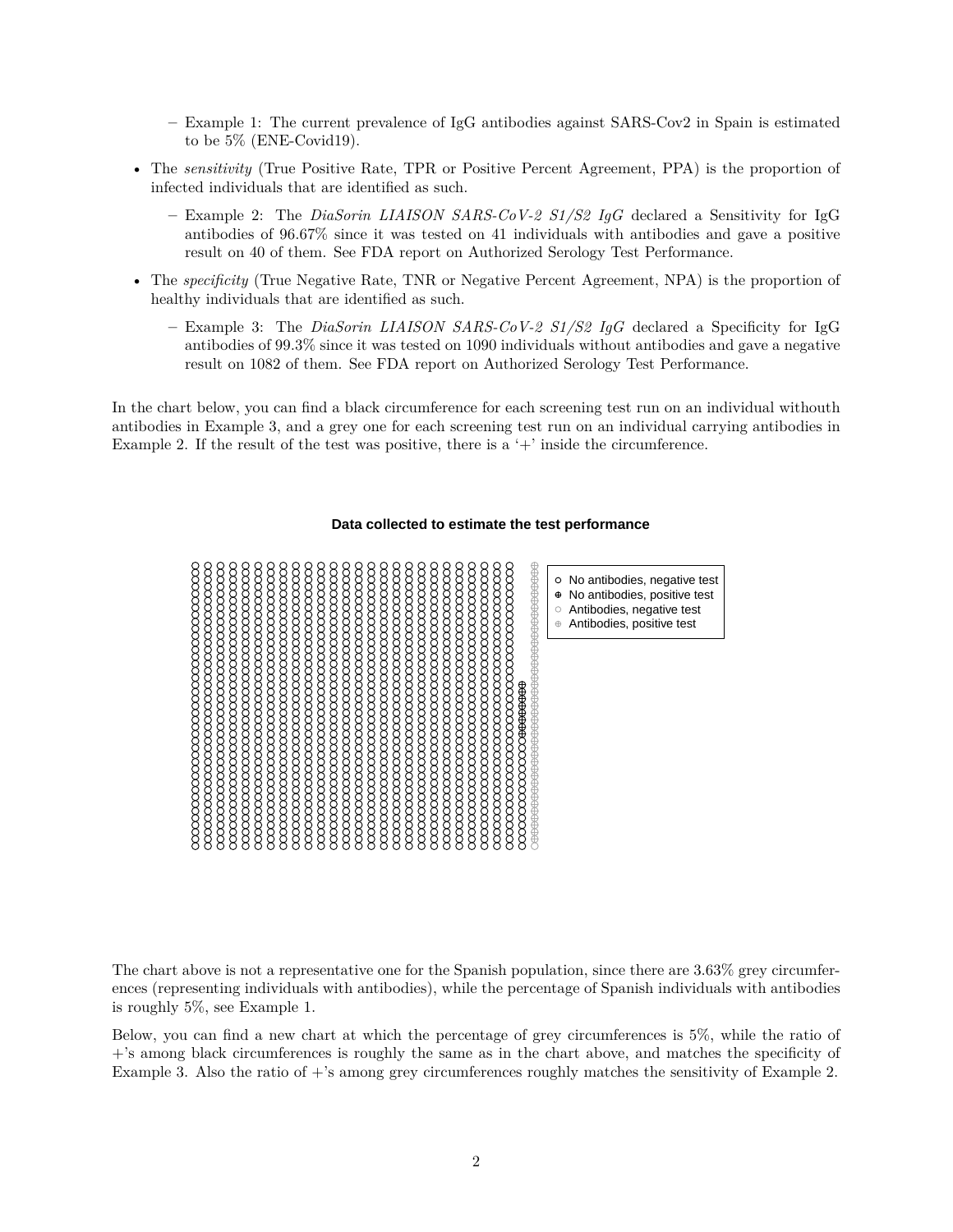- **–** Example 1: The current prevalence of IgG antibodies against SARS-Cov2 in Spain is estimated to be 5% [\(ENE-Covid19\).](https://www.mscbs.gob.es/gabinetePrensa/notaPrensa/pdf/ENE-C140520115618104.pdf)
- The *sensitivity* (True Positive Rate, TPR or Positive Percent Agreement, PPA) is the proportion of infected individuals that are identified as such.
	- **–** Example 2: The *DiaSorin LIAISON SARS-CoV-2 S1/S2 IgG* declared a Sensitivity for IgG antibodies of 96*.*67% since it was tested on 41 individuals with antibodies and gave a positive result on 40 of them. [See FDA report on Authorized Serology Test Performance.](https://www.fda.gov/medical-devices/emergency-situations-medical-devices/eua-authorized-serology-test-performance)
- The *specificity* (True Negative Rate, TNR or Negative Percent Agreement, NPA) is the proportion of healthy individuals that are identified as such.
	- **–** Example 3: The *DiaSorin LIAISON SARS-CoV-2 S1/S2 IgG* declared a Specificity for IgG antibodies of 99*.*3% since it was tested on 1090 individuals without antibodies and gave a negative result on 1082 of them. [See FDA report on Authorized Serology Test Performance.](https://www.fda.gov/medical-devices/emergency-situations-medical-devices/eua-authorized-serology-test-performance)

In the chart below, you can find a black circumference for each screening test run on an individual withouth antibodies in Example 3, and a grey one for each screening test run on an individual carrying antibodies in Example 2. If the result of the test was positive, there is a  $'$ + inside the circumference.



#### **Data collected to estimate the test performance**

The chart above is not a representative one for the Spanish population, since there are 3.63% grey circumferences (representing individuals with antibodies), while the percentage of Spanish individuals with antibodies is roughly 5%, see Example 1.

Below, you can find a new chart at which the percentage of grey circumferences is 5%, while the ratio of +'s among black circumferences is roughly the same as in the chart above, and matches the specificity of Example 3. Also the ratio of +'s among grey circumferences roughly matches the sensitivity of Example 2.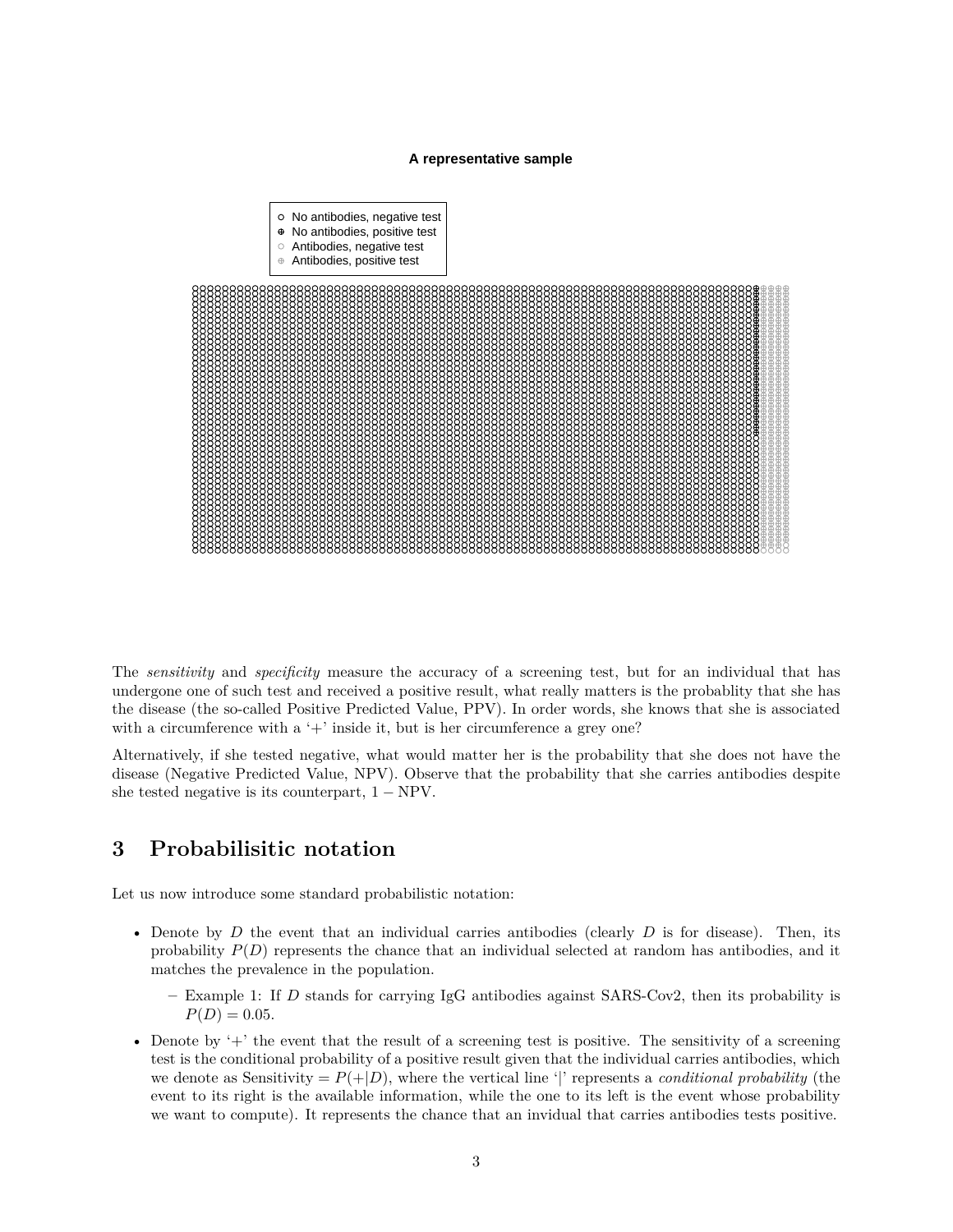#### **A representative sample**



The *sensitivity* and *specificity* measure the accuracy of a screening test, but for an individual that has undergone one of such test and received a positive result, what really matters is the probablity that she has the disease (the so-called Positive Predicted Value, PPV). In order words, she knows that she is associated with a circumference with a  $+$  inside it, but is her circumference a grey one?

Alternatively, if she tested negative, what would matter her is the probability that she does not have the disease (Negative Predicted Value, NPV). Observe that the probability that she carries antibodies despite she tested negative is its counterpart,  $1 - NPV$ .

### <span id="page-2-0"></span>**3 Probabilisitic notation**

Let us now introduce some standard probabilistic notation:

- Denote by *D* the event that an individual carries antibodies (clearly *D* is for disease). Then, its probability *P*(*D*) represents the chance that an individual selected at random has antibodies, and it matches the prevalence in the population.
	- **–** Example 1: If *D* stands for carrying IgG antibodies against SARS-Cov2, then its probability is  $P(D) = 0.05$ .
- Denote by '+' the event that the result of a screening test is positive. The sensitivity of a screening test is the conditional probability of a positive result given that the individual carries antibodies, which we denote as Sensitivity  $= P(+|D)$ , where the vertical line '|' represents a *conditional probability* (the event to its right is the available information, while the one to its left is the event whose probability we want to compute). It represents the chance that an invidual that carries antibodies tests positive.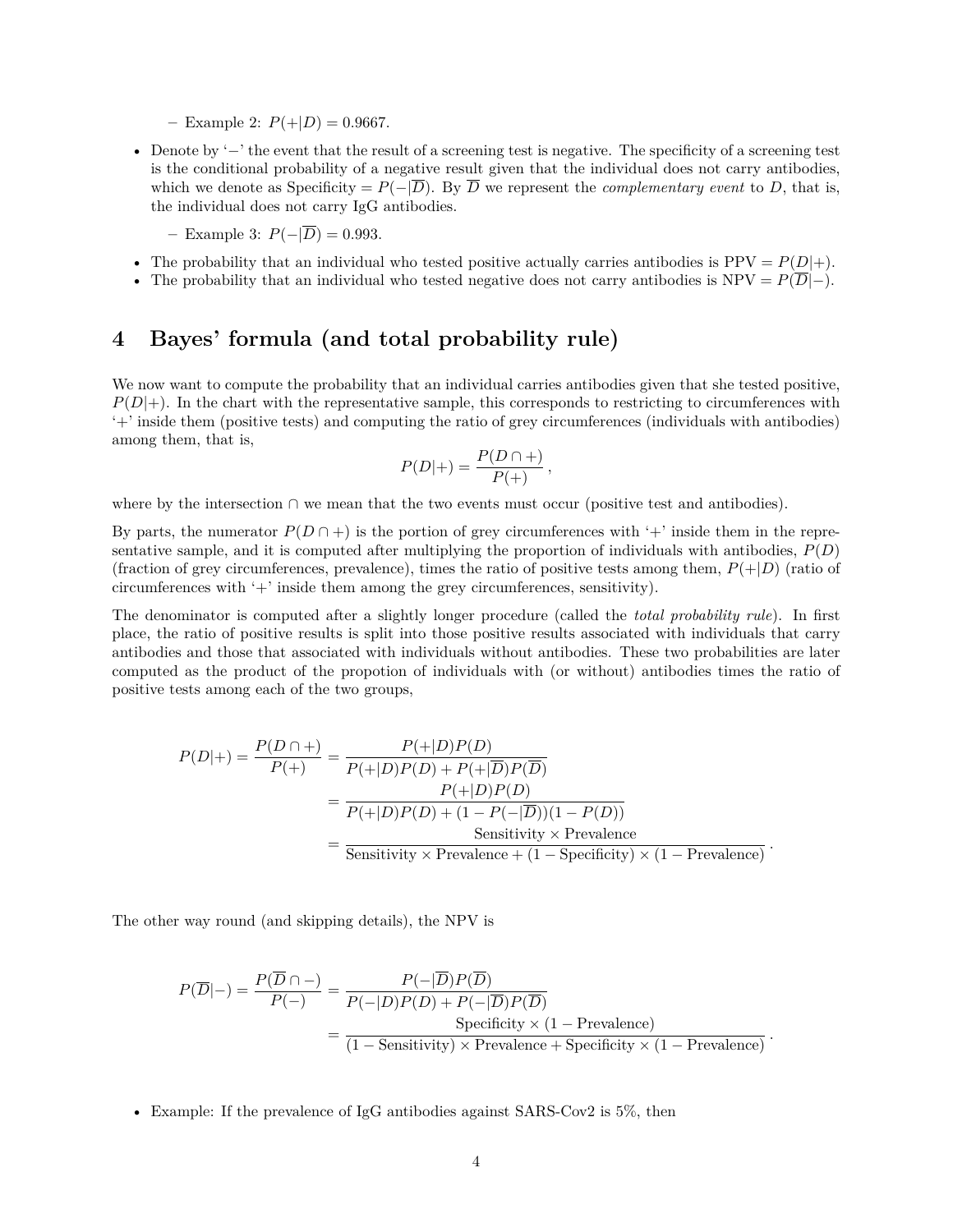$-$  Example 2:  $P(+|D) = 0.9667$ .

• Denote by '−' the event that the result of a screening test is negative. The specificity of a screening test is the conditional probability of a negative result given that the individual does not carry antibodies, which we denote as Specificity =  $P(-|\overline{D})$ . By  $\overline{D}$  we represent the *complementary event* to *D*, that is, the individual does not carry IgG antibodies.

 $−$  Example 3:  $P(-|\overline{D}) = 0.993$ .

- The probability that an individual who tested positive actually carries antibodies is  $PPV = P(D|+)$ .
- The probability that an individual who tested negative does not carry antibodies is NPV =  $P(\overline{D}|-)$ .

### <span id="page-3-0"></span>**4 Bayes' formula (and total probability rule)**

We now want to compute the probability that an individual carries antibodies given that she tested positive,  $P(D|+)$ . In the chart with the representative sample, this corresponds to restricting to circumferences with '+' inside them (positive tests) and computing the ratio of grey circumferences (individuals with antibodies) among them, that is,

$$
P(D|+) = \frac{P(D \cap +)}{P(+)},
$$

where by the intersection ∩ we mean that the two events must occur (positive test and antibodies).

By parts, the numerator  $P(D \cap +)$  is the portion of grey circumferences with '+' inside them in the representative sample, and it is computed after multiplying the proportion of individuals with antibodies, *P*(*D*) (fraction of grey circumferences, prevalence), times the ratio of positive tests among them,  $P(+|D)$  (ratio of circumferences with '+' inside them among the grey circumferences, sensitivity).

The denominator is computed after a slightly longer procedure (called the *total probability rule*). In first place, the ratio of positive results is split into those positive results associated with individuals that carry antibodies and those that associated with individuals without antibodies. These two probabilities are later computed as the product of the propotion of individuals with (or without) antibodies times the ratio of positive tests among each of the two groups,

$$
P(D|+) = \frac{P(D \cap +)}{P(+)} = \frac{P(+|D)P(D)}{P(+|D)P(D) + P(+|\overline{D})P(\overline{D})}
$$
  
= 
$$
\frac{P(+|D)P(D)}{P(+|D)P(D) + (1 - P(-|\overline{D}))(1 - P(D))}
$$
  
= 
$$
\frac{\text{Sensitivity} \times \text{Prevalence}}{\text{Sensitivity} \times \text{Prevalence} + (1 - \text{Specificity}) \times (1 - \text{Prevalence})}.
$$

The other way round (and skipping details), the NPV is

$$
P(\overline{D}|-) = \frac{P(\overline{D} \cap -)}{P(-)} = \frac{P(-|\overline{D})P(\overline{D})}{P(-|D)P(D) + P(-|\overline{D})P(\overline{D})}
$$
  
= 
$$
\frac{\text{Specificity} \times (1 - \text{Prevalence})}{(1 - \text{Sensitivity}) \times \text{Prevalence} + \text{Specificity} \times (1 - \text{Prevalence})}.
$$

• Example: If the prevalence of IgG antibodies against SARS-Cov2 is 5%, then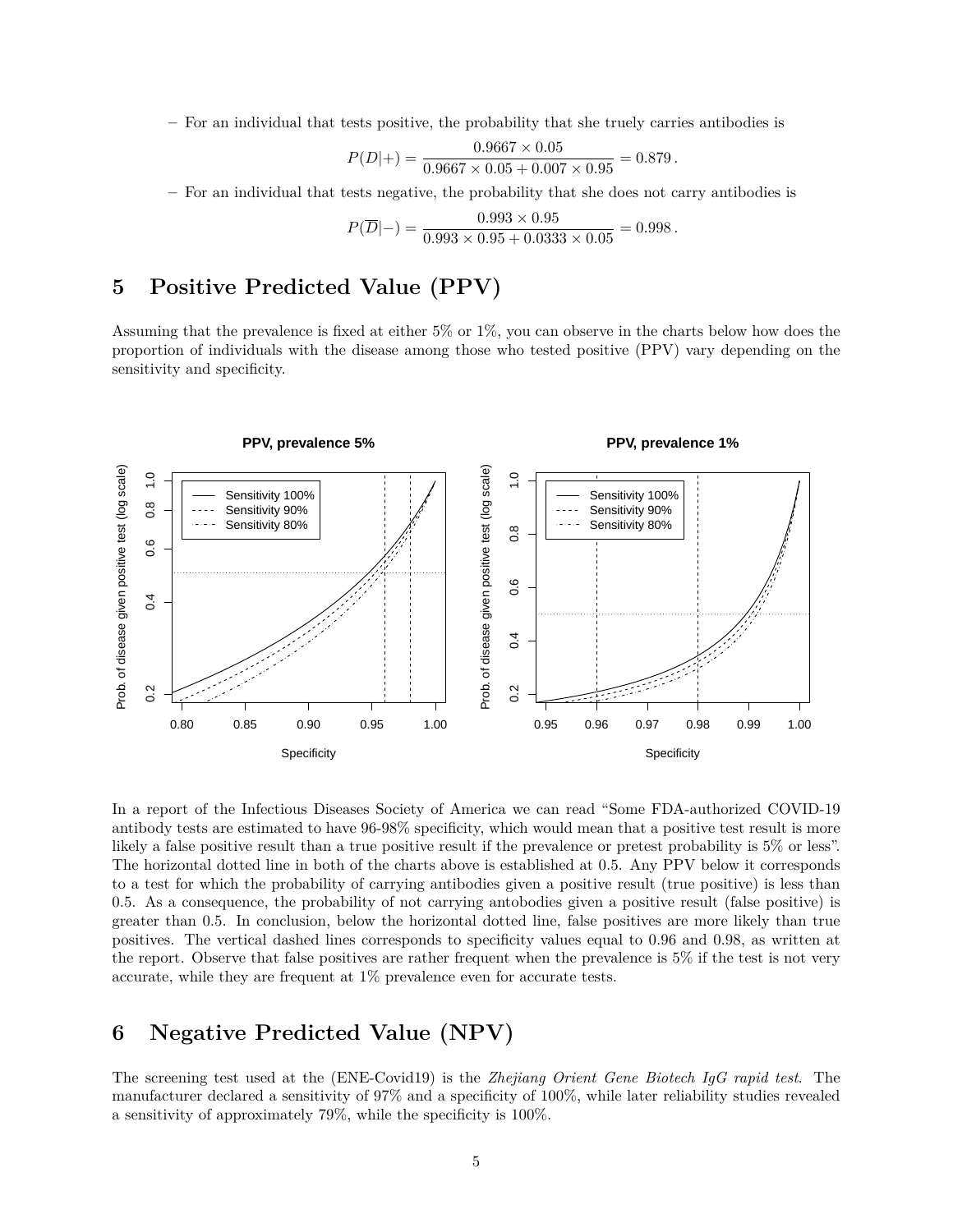**–** For an individual that tests positive, the probability that she truely carries antibodies is

$$
P(D|+) = \frac{0.9667 \times 0.05}{0.9667 \times 0.05 + 0.007 \times 0.95} = 0.879.
$$

**–** For an individual that tests negative, the probability that she does not carry antibodies is

$$
P(\overline{D}|-) = \frac{0.993 \times 0.95}{0.993 \times 0.95 + 0.0333 \times 0.05} = 0.998.
$$

#### <span id="page-4-0"></span>**5 Positive Predicted Value (PPV)**

Assuming that the prevalence is fixed at either 5% or 1%, you can observe in the charts below how does the proportion of individuals with the disease among those who tested positive (PPV) vary depending on the sensitivity and specificity.



In a [report of the Infectious Diseases Society of America](https://www.idsociety.org/globalassets/idsa/public-health/covid-19/idsa-covid-19-antibody-testing-primer.pdf) we can read "Some FDA-authorized COVID-19 antibody tests are estimated to have 96-98% specificity, which would mean that a positive test result is more likely a false positive result than a true positive result if the prevalence or pretest probability is 5% or less". The horizontal dotted line in both of the charts above is established at 0*.*5. Any PPV below it corresponds to a test for which the probability of carrying antibodies given a positive result (true positive) is less than 0*.*5. As a consequence, the probability of not carrying antobodies given a positive result (false positive) is greater than 0*.*5. In conclusion, below the horizontal dotted line, false positives are more likely than true positives. The vertical dashed lines corresponds to specificity values equal to 0*.*96 and 0*.*98, as written at the report. Observe that false positives are rather frequent when the prevalence is 5% if the test is not very accurate, while they are frequent at 1% prevalence even for accurate tests.

### <span id="page-4-1"></span>**6 Negative Predicted Value (NPV)**

The screening test used at the [\(ENE-Covid19\)](https://www.mscbs.gob.es/gabinetePrensa/notaPrensa/pdf/ENE-C140520115618104.pdf) is the *Zhejiang Orient Gene Biotech IgG rapid test*. The manufacturer declared a sensitivity of 97% and a specificity of 100%, while later reliability studies revealed a sensitivity of approximately 79%, while the specificity is 100%.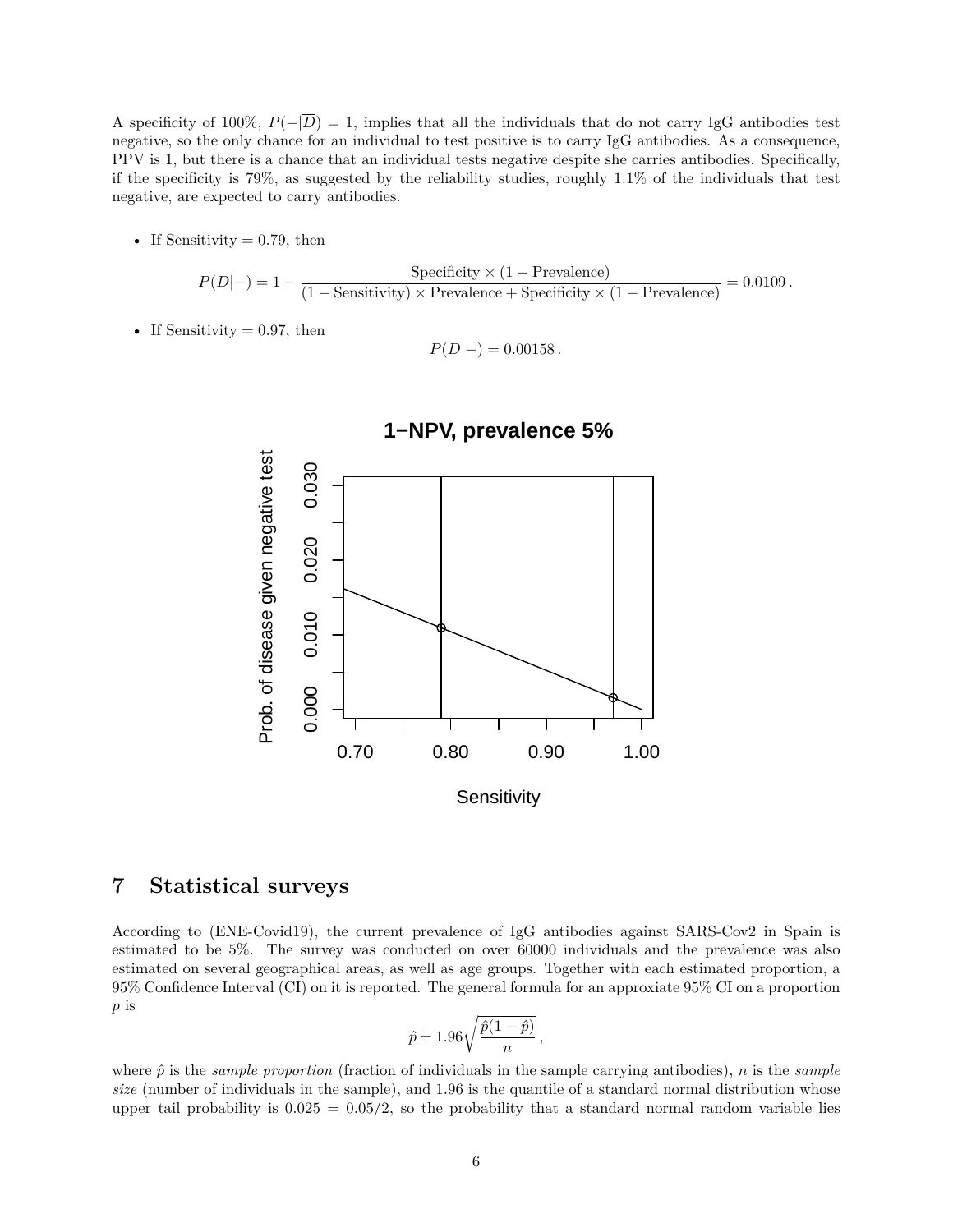A specificity of 100%,  $P(-|\overline{D}) = 1$ , implies that all the individuals that do not carry IgG antibodies test negative, so the only chance for an individual to test positive is to carry IgG antibodies. As a consequence, PPV is 1, but there is a chance that an individual tests negative despite she carries antibodies. Specifically, if the specificity is 79%, as suggested by the reliability studies, roughly 1*.*1% of the individuals that test negative, are expected to carry antibodies.

• If Sensitivity  $= 0.79$ , then

$$
P(D|-) = 1 - \frac{\text{Specificity} \times (1 - \text{Prevalence})}{(1 - \text{Sensitivity}) \times \text{Prevalence} + \text{Specificity} \times (1 - \text{Prevalence})} = 0.0109.
$$

• If Sensitivity  $= 0.97$ , then

$$
P(D|-) = 0.00158.
$$



## **1−NPV, prevalence 5%**

#### <span id="page-5-0"></span>**7 Statistical surveys**

According to [\(ENE-Covid19\),](https://www.mscbs.gob.es/gabinetePrensa/notaPrensa/pdf/ENE-C140520115618104.pdf) the current prevalence of IgG antibodies against SARS-Cov2 in Spain is estimated to be 5%. The survey was conducted on over 60000 individuals and the prevalence was also estimated on several geographical areas, as well as age groups. Together with each estimated proportion, a 95% Confidence Interval (CI) on it is reported. The general formula for an approxiate 95% CI on a proportion *p* is

$$
\hat{p} \pm 1.96\sqrt{\frac{\hat{p}(1-\hat{p})}{n}},
$$

where  $\hat{p}$  is the *sample proportion* (fraction of individuals in the sample carrying antibodies), *n* is the *sample size* (number of individuals in the sample), and 1.96 is the quantile of a standard normal distribution whose upper tail probability is  $0.025 = 0.05/2$ , so the probability that a standard normal random variable lies